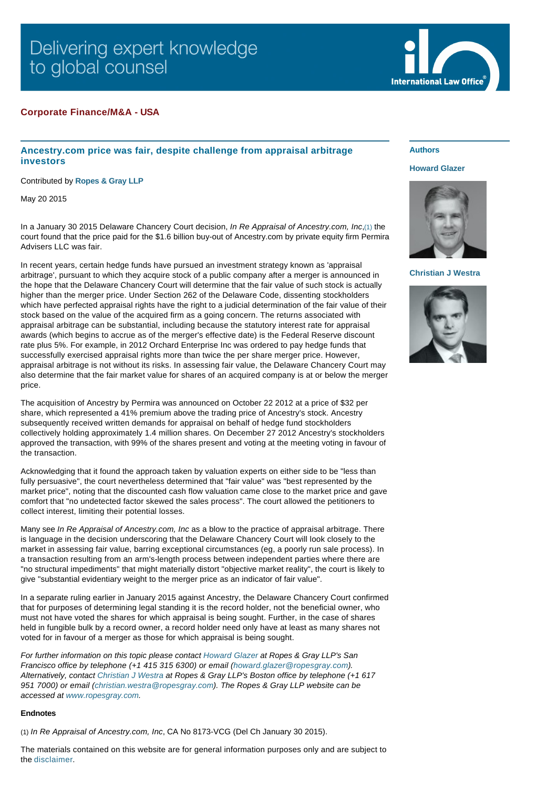# Delivering expert knowledge to global counsel

## **Corporate Finance/M&A - USA**

## **Ancestry.com price was fair, despite challenge from appraisal arbitrage investors**

Contributed by **[Ropes & Gray LLP](http://www.internationallawoffice.com/gesr.ashx?l=7NMBF9E)**

May 20 2015

In a January 30 2015 Delaware Chancery Court decision, *In Re Appraisal of Ancestry.com, Inc*,[\(1\)](#page-0-0) the court found that the price paid for the \$1.6 billion buy-out of Ancestry.com by private equity firm Permira Advisers LLC was fair.

In recent years, certain hedge funds have pursued an investment strategy known as 'appraisal arbitrage', pursuant to which they acquire stock of a public company after a merger is announced in the hope that the Delaware Chancery Court will determine that the fair value of such stock is actually higher than the merger price. Under Section 262 of the Delaware Code, dissenting stockholders which have perfected appraisal rights have the right to a judicial determination of the fair value of their stock based on the value of the acquired firm as a going concern. The returns associated with appraisal arbitrage can be substantial, including because the statutory interest rate for appraisal awards (which begins to accrue as of the merger's effective date) is the Federal Reserve discount rate plus 5%. For example, in 2012 Orchard Enterprise Inc was ordered to pay hedge funds that successfully exercised appraisal rights more than twice the per share merger price. However, appraisal arbitrage is not without its risks. In assessing fair value, the Delaware Chancery Court may also determine that the fair market value for shares of an acquired company is at or below the merger price.

The acquisition of Ancestry by Permira was announced on October 22 2012 at a price of \$32 per share, which represented a 41% premium above the trading price of Ancestry's stock. Ancestry subsequently received written demands for appraisal on behalf of hedge fund stockholders collectively holding approximately 1.4 million shares. On December 27 2012 Ancestry's stockholders approved the transaction, with 99% of the shares present and voting at the meeting voting in favour of the transaction.

Acknowledging that it found the approach taken by valuation experts on either side to be "less than fully persuasive", the court nevertheless determined that "fair value" was "best represented by the market price", noting that the discounted cash flow valuation came close to the market price and gave comfort that "no undetected factor skewed the sales process". The court allowed the petitioners to collect interest, limiting their potential losses.

Many see *In Re Appraisal of Ancestry.com, Inc* as a blow to the practice of appraisal arbitrage. There is language in the decision underscoring that the Delaware Chancery Court will look closely to the market in assessing fair value, barring exceptional circumstances (eg, a poorly run sale process). In a transaction resulting from an arm's-length process between independent parties where there are "no structural impediments" that might materially distort "objective market reality", the court is likely to give "substantial evidentiary weight to the merger price as an indicator of fair value".

In a separate ruling earlier in January 2015 against Ancestry, the Delaware Chancery Court confirmed that for purposes of determining legal standing it is the record holder, not the beneficial owner, who must not have voted the shares for which appraisal is being sought. Further, in the case of shares held in fungible bulk by a record owner, a record holder need only have at least as many shares not voted for in favour of a merger as those for which appraisal is being sought.

*For further information on this topic please contact [Howard Glazer](http://www.internationallawoffice.com/gesr.ashx?l=7NMBF9P) at Ropes & Gray LLP's San Francisco office by telephone (+1 415 315 6300) or email [\(howard.glazer@ropesgray.com\)](mailto:howard.glazer@ropesgray.com?subject=Article%20on%20ILO). Alternatively, contact [Christian J Westra](http://www.internationallawoffice.com/gesr.ashx?l=7NMBF9V) at Ropes & Gray LLP's Boston office by telephone (+1 617 951 7000) or email [\(christian.westra@ropesgray.com](mailto:christian.westra@ropesgray.com?subject=Article%20on%20ILO)). The Ropes & Gray LLP website can be accessed at [www.ropesgray.com](http://www.internationallawoffice.com/gesr.ashx?l=7NMBFA1).*

#### **Endnotes**

<span id="page-0-0"></span>(1) *In Re Appraisal of Ancestry.com, Inc*, CA No 8173-VCG (Del Ch January 30 2015).

The materials contained on this website are for general information purposes only and are subject to the [disclaimer.](http://www.internationallawoffice.com/gesr.ashx?l=7NMBFAR)

### **Authors**

#### **[Howard Glazer](http://www.internationallawoffice.com/gesr.ashx?l=7NMBF9P)**



**[Christian J Westra](http://www.internationallawoffice.com/gesr.ashx?l=7NMBFCB)**